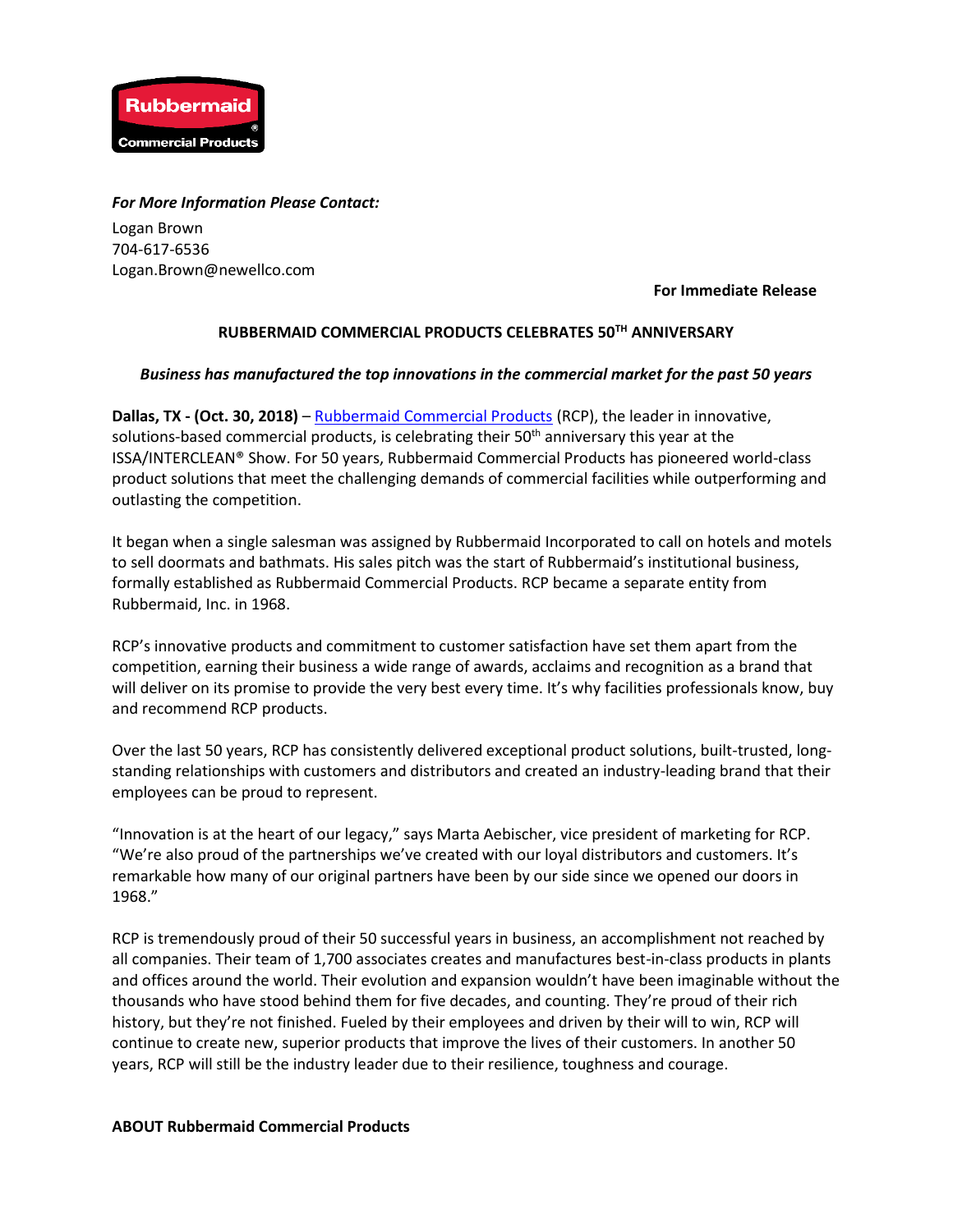

## *For More Information Please Contact:*

Logan Brown 704-617-6536 Logan.Brown@newellco.com

**For Immediate Release**

## **RUBBERMAID COMMERCIAL PRODUCTS CELEBRATES 50TH ANNIVERSARY**

## *Business has manufactured the top innovations in the commercial market for the past 50 years*

**Dallas, TX - (Oct. 30, 2018)** – [Rubbermaid Commercial Products](http://www.rubbermaidcommercial.com/) (RCP), the leader in innovative, solutions-based commercial products, is celebrating their 50<sup>th</sup> anniversary this year at the ISSA/INTERCLEAN® Show. For 50 years, Rubbermaid Commercial Products has pioneered world-class product solutions that meet the challenging demands of commercial facilities while outperforming and outlasting the competition.

It began when a single salesman was assigned by Rubbermaid Incorporated to call on hotels and motels to sell doormats and bathmats. His sales pitch was the start of Rubbermaid's institutional business, formally established as Rubbermaid Commercial Products. RCP became a separate entity from Rubbermaid, Inc. in 1968.

RCP's innovative products and commitment to customer satisfaction have set them apart from the competition, earning their business a wide range of awards, acclaims and recognition as a brand that will deliver on its promise to provide the very best every time. It's why facilities professionals know, buy and recommend RCP products.

Over the last 50 years, RCP has consistently delivered exceptional product solutions, built-trusted, longstanding relationships with customers and distributors and created an industry-leading brand that their employees can be proud to represent.

"Innovation is at the heart of our legacy," says Marta Aebischer, vice president of marketing for RCP. "We're also proud of the partnerships we've created with our loyal distributors and customers. It's remarkable how many of our original partners have been by our side since we opened our doors in 1968."

RCP is tremendously proud of their 50 successful years in business, an accomplishment not reached by all companies. Their team of 1,700 associates creates and manufactures best-in-class products in plants and offices around the world. Their evolution and expansion wouldn't have been imaginable without the thousands who have stood behind them for five decades, and counting. They're proud of their rich history, but they're not finished. Fueled by their employees and driven by their will to win, RCP will continue to create new, superior products that improve the lives of their customers. In another 50 years, RCP will still be the industry leader due to their resilience, toughness and courage.

## **ABOUT Rubbermaid Commercial Products**